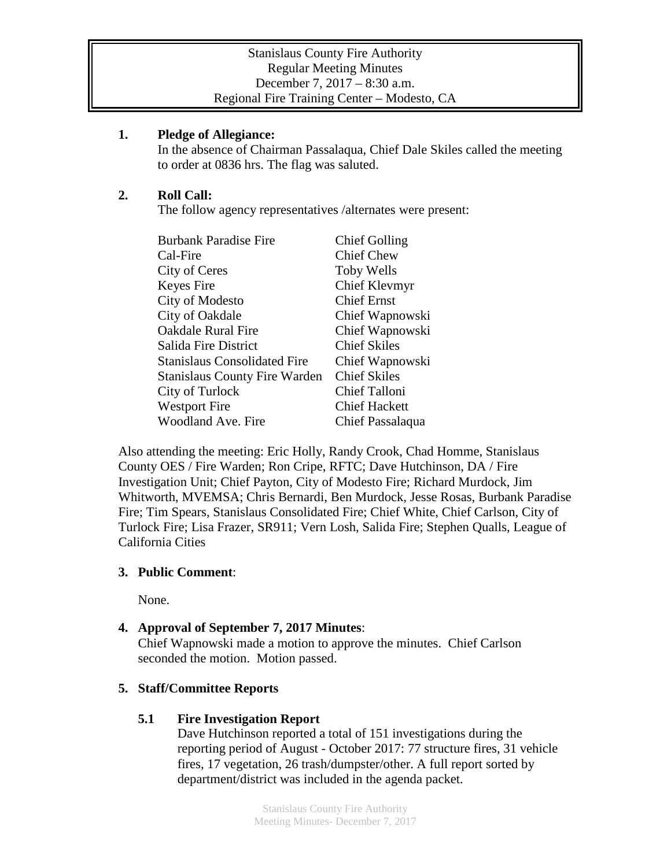#### **1. Pledge of Allegiance:**

In the absence of Chairman Passalaqua, Chief Dale Skiles called the meeting to order at 0836 hrs. The flag was saluted.

## **2. Roll Call:**

The follow agency representatives /alternates were present:

| <b>Burbank Paradise Fire</b>         | <b>Chief Golling</b> |
|--------------------------------------|----------------------|
| Cal-Fire                             | <b>Chief Chew</b>    |
| City of Ceres                        | Toby Wells           |
| Keyes Fire                           | Chief Klevmyr        |
| City of Modesto                      | <b>Chief Ernst</b>   |
| City of Oakdale                      | Chief Wapnowski      |
| <b>Oakdale Rural Fire</b>            | Chief Wapnowski      |
| Salida Fire District                 | <b>Chief Skiles</b>  |
| Stanislaus Consolidated Fire         | Chief Wapnowski      |
| <b>Stanislaus County Fire Warden</b> | <b>Chief Skiles</b>  |
| City of Turlock                      | Chief Talloni        |
| <b>Westport Fire</b>                 | <b>Chief Hackett</b> |
| <b>Woodland Ave. Fire</b>            | Chief Passalaqua     |

Also attending the meeting: Eric Holly, Randy Crook, Chad Homme, Stanislaus County OES / Fire Warden; Ron Cripe, RFTC; Dave Hutchinson, DA / Fire Investigation Unit; Chief Payton, City of Modesto Fire; Richard Murdock, Jim Whitworth, MVEMSA; Chris Bernardi, Ben Murdock, Jesse Rosas, Burbank Paradise Fire; Tim Spears, Stanislaus Consolidated Fire; Chief White, Chief Carlson, City of Turlock Fire; Lisa Frazer, SR911; Vern Losh, Salida Fire; Stephen Qualls, League of California Cities

### **3. Public Comment**:

None.

# **4. Approval of September 7, 2017 Minutes**:

Chief Wapnowski made a motion to approve the minutes. Chief Carlson seconded the motion. Motion passed.

# **5. Staff/Committee Reports**

### **5.1 Fire Investigation Report**

Dave Hutchinson reported a total of 151 investigations during the reporting period of August - October 2017: 77 structure fires, 31 vehicle fires, 17 vegetation, 26 trash/dumpster/other. A full report sorted by department/district was included in the agenda packet.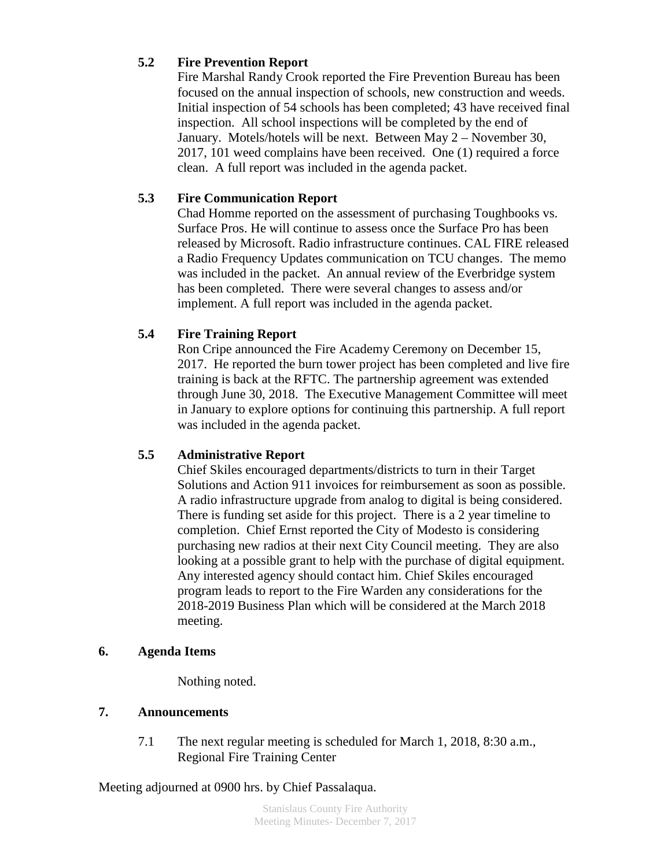### **5.2 Fire Prevention Report**

Fire Marshal Randy Crook reported the Fire Prevention Bureau has been focused on the annual inspection of schools, new construction and weeds. Initial inspection of 54 schools has been completed; 43 have received final inspection. All school inspections will be completed by the end of January. Motels/hotels will be next. Between May 2 – November 30, 2017, 101 weed complains have been received. One (1) required a force clean. A full report was included in the agenda packet.

#### **5.3 Fire Communication Report**

Chad Homme reported on the assessment of purchasing Toughbooks vs. Surface Pros. He will continue to assess once the Surface Pro has been released by Microsoft. Radio infrastructure continues. CAL FIRE released a Radio Frequency Updates communication on TCU changes. The memo was included in the packet. An annual review of the Everbridge system has been completed. There were several changes to assess and/or implement. A full report was included in the agenda packet.

#### **5.4 Fire Training Report**

Ron Cripe announced the Fire Academy Ceremony on December 15, 2017. He reported the burn tower project has been completed and live fire training is back at the RFTC. The partnership agreement was extended through June 30, 2018. The Executive Management Committee will meet in January to explore options for continuing this partnership. A full report was included in the agenda packet.

#### **5.5 Administrative Report**

Chief Skiles encouraged departments/districts to turn in their Target Solutions and Action 911 invoices for reimbursement as soon as possible. A radio infrastructure upgrade from analog to digital is being considered. There is funding set aside for this project. There is a 2 year timeline to completion. Chief Ernst reported the City of Modesto is considering purchasing new radios at their next City Council meeting. They are also looking at a possible grant to help with the purchase of digital equipment. Any interested agency should contact him. Chief Skiles encouraged program leads to report to the Fire Warden any considerations for the 2018-2019 Business Plan which will be considered at the March 2018 meeting.

#### **6. Agenda Items**

Nothing noted.

## **7. Announcements**

7.1 The next regular meeting is scheduled for March 1, 2018, 8:30 a.m., Regional Fire Training Center

Meeting adjourned at 0900 hrs. by Chief Passalaqua.